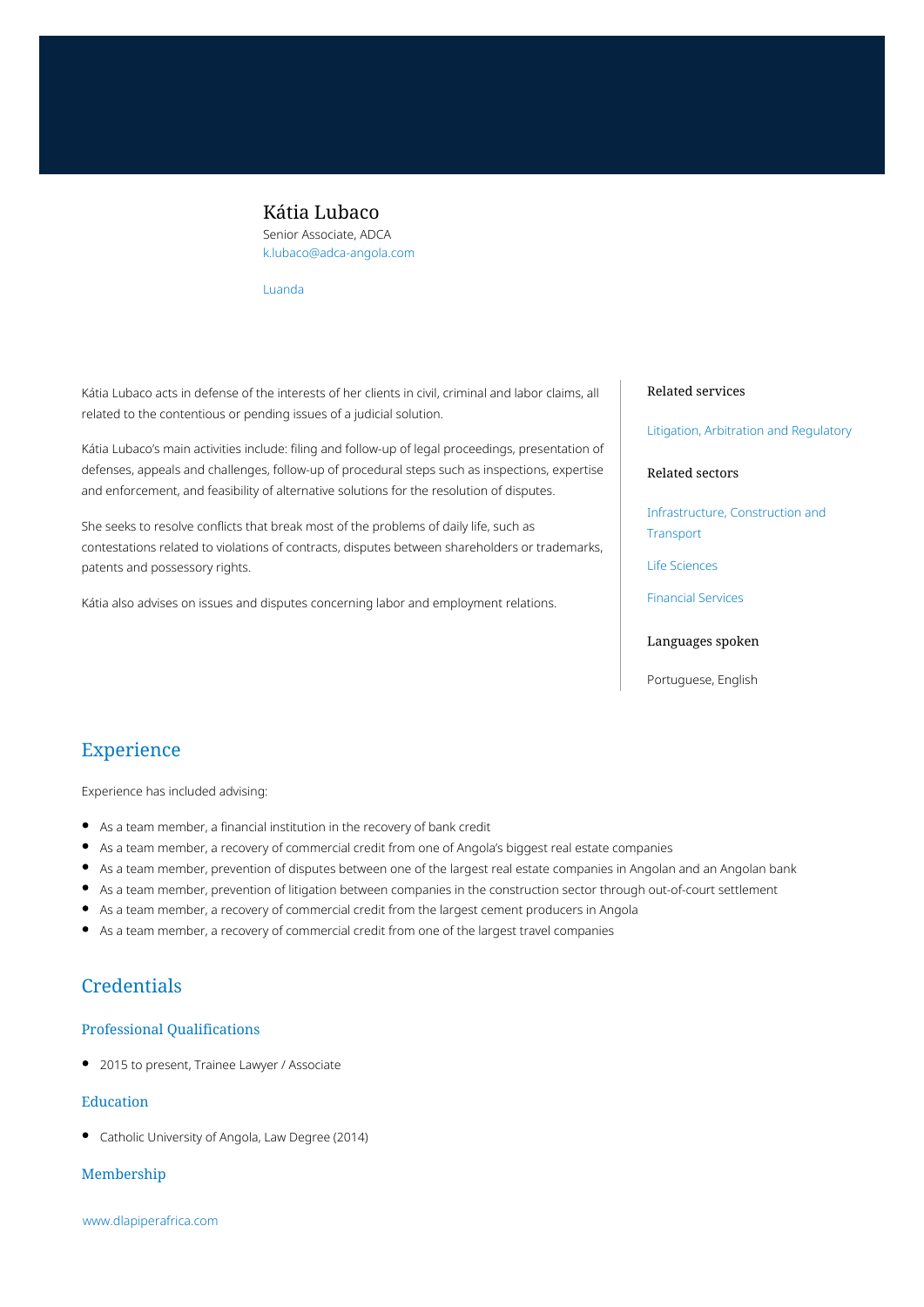### Kátia Lubaco

Senior Associate, ADCA k.lubaco@adca-angola.com

[Luanda](https://www.dlapiperafrica.com/angola/locations/luanda.html)

Kátia Lubaco acts in defense of the interests of her clients in civil, criminal and labor claims, all related to the contentious or pending issues of a judicial solution.

Kátia Lubaco's main activities include: filing and follow-up of legal proceedings, presentation of defenses, appeals and challenges, follow-up of procedural steps such as inspections, expertise and enforcement, and feasibility of alternative solutions for the resolution of disputes.

She seeks to resolve conflicts that break most of the problems of daily life, such as contestations related to violations of contracts, disputes between shareholders or trademarks, patents and possessory rights.

Kátia also advises on issues and disputes concerning labor and employment relations.

#### Related services

[Litigation, Arbitration and Regulatory](https://www.dlapiperafrica.com/en/angola/services/litigation-and-regulatory.html)

### Related sectors

[Infrastructure, Construction and](https://www.dlapiperafrica.com/en/angola/sectors/infrastructure-construction-transport.html) [Transport](https://www.dlapiperafrica.com/en/angola/sectors/infrastructure-construction-transport.html)

[Life Sciences](https://www.dlapiperafrica.com/en/angola/sectors/life-sciences.html)

[Financial Services](https://www.dlapiperafrica.com/en/angola/sectors/financial-services.html)

### Languages spoken

Portuguese, English

# Experience

Experience has included advising:

- As a team member, a financial institution in the recovery of bank credit
- As a team member, a recovery of commercial credit from one of Angola's biggest real estate companies
- As a team member, prevention of disputes between one of the largest real estate companies in Angolan and an Angolan bank
- As a team member, prevention of litigation between companies in the construction sector through out-of-court settlement
- As a team member, a recovery of commercial credit from the largest cement producers in Angola
- As a team member, a recovery of commercial credit from one of the largest travel companies

## **Credentials**

### Professional Qualifications

• 2015 to present, Trainee Lawyer / Associate

### Education

Catholic University of Angola, Law Degree (2014)

### Membership

[www.dlapiperafrica.com](https://www.dlapiperafrica.com)